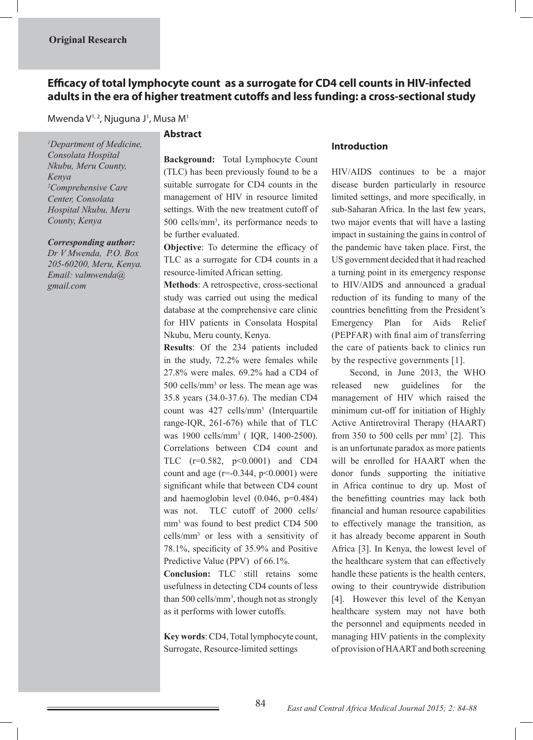# **Efficacy of total lymphocyte count as a surrogate for CD4 cell counts in HIV-infected adults in the era of higher treatment cutoffs and less funding: a cross-sectional study**

Mwenda V<sup>1, 2</sup>, Njuguna J<sup>1</sup>, Musa M<sup>1</sup>

*1 Department of Medicine, Consolata Hospital Nkubu, Meru County, Kenya 2 Comprehensive Care Center, Consolata Hospital Nkubu, Meru County, Kenya*

#### *Corresponding author:*

*Dr V Mwenda, P.O. Box 205-60200, Meru, Kenya. Email: valmwenda@ gmail.com*

## **Abstract**

**Background:** Total Lymphocyte Count (TLC) has been previously found to be a suitable surrogate for CD4 counts in the management of HIV in resource limited settings. With the new treatment cutoff of 500 cells/mm3 , its performance needs to be further evaluated.

**Objective**: To determine the efficacy of TLC as a surrogate for CD4 counts in a resource-limited African setting.

**Methods**: A retrospective, cross-sectional study was carried out using the medical database at the comprehensive care clinic for HIV patients in Consolata Hospital Nkubu, Meru county, Kenya.

**Results**: Of the 234 patients included in the study, 72.2% were females while 27.8% were males. 69.2% had a CD4 of 500 cells/mm<sup>3</sup> or less. The mean age was 35.8 years (34.0-37.6). The median CD4 count was 427 cells/mm3 (Interquartile range-IQR, 261-676) while that of TLC was 1900 cells/mm3 ( IQR, 1400-2500). Correlations between CD4 count and TLC  $(r=0.582, p<0.0001)$  and CD4 count and age ( $r=0.344$ ,  $p<0.0001$ ) were significant while that between CD4 count and haemoglobin level (0.046, p=0.484) was not. TLC cutoff of 2000 cells/ mm<sup>3</sup> was found to best predict CD4 500 cells/mm3 or less with a sensitivity of 78.1%, specificity of 35.9% and Positive Predictive Value (PPV) of 66.1%.

**Conclusion:** TLC still retains some usefulness in detecting CD4 counts of less than 500 cells/mm<sup>3</sup>, though not as strongly as it performs with lower cutoffs.

**Key words**: CD4, Total lymphocyte count, Surrogate, Resource-limited settings

#### **Introduction**

HIV/AIDS continues to be a major disease burden particularly in resource limited settings, and more specifically, in sub-Saharan Africa. In the last few years, two major events that will have a lasting impact in sustaining the gains in control of the pandemic have taken place. First, the US government decided that it had reached a turning point in its emergency response to HIV/AIDS and announced a gradual reduction of its funding to many of the countries benefitting from the President's Emergency Plan for Aids Relief (PEPFAR) with final aim of transferring the care of patients back to clinics run by the respective governments [1].

 Second, in June 2013, the WHO released new guidelines for the management of HIV which raised the minimum cut-off for initiation of Highly Active Antiretroviral Therapy (HAART) from 350 to 500 cells per  $mm<sup>3</sup>$  [2]. This is an unfortunate paradox as more patients will be enrolled for HAART when the donor funds supporting the initiative in Africa continue to dry up. Most of the benefitting countries may lack both financial and human resource capabilities to effectively manage the transition, as it has already become apparent in South Africa [3]. In Kenya, the lowest level of the healthcare system that can effectively handle these patients is the health centers, owing to their countrywide distribution [4]. However this level of the Kenyan healthcare system may not have both the personnel and equipments needed in managing HIV patients in the complexity of provision of HAART and both screening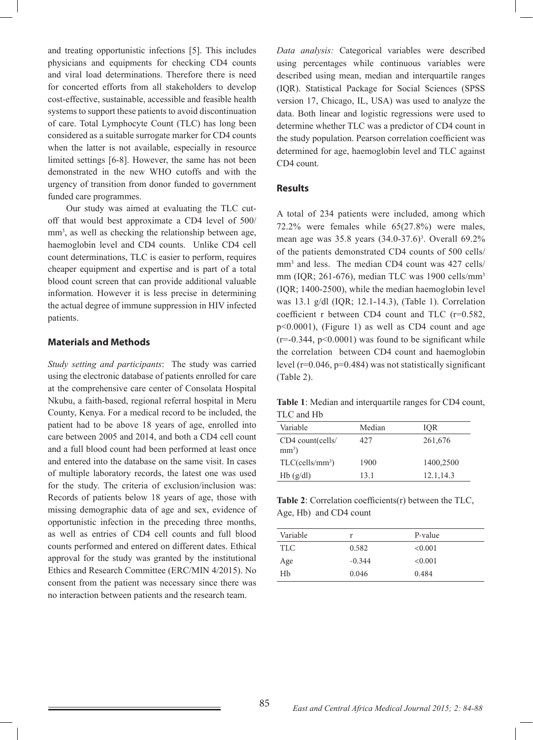and treating opportunistic infections [5]. This includes physicians and equipments for checking CD4 counts and viral load determinations. Therefore there is need for concerted efforts from all stakeholders to develop cost-effective, sustainable, accessible and feasible health systems to support these patients to avoid discontinuation of care. Total Lymphocyte Count (TLC) has long been considered as a suitable surrogate marker for CD4 counts when the latter is not available, especially in resource limited settings [6-8]. However, the same has not been demonstrated in the new WHO cutoffs and with the urgency of transition from donor funded to government funded care programmes.

 Our study was aimed at evaluating the TLC cutoff that would best approximate a CD4 level of 500/ mm<sup>3</sup>, as well as checking the relationship between age, haemoglobin level and CD4 counts. Unlike CD4 cell count determinations, TLC is easier to perform, requires cheaper equipment and expertise and is part of a total blood count screen that can provide additional valuable information. However it is less precise in determining the actual degree of immune suppression in HIV infected patients.

#### **Materials and Methods**

*Study setting and participants*: The study was carried using the electronic database of patients enrolled for care at the comprehensive care center of Consolata Hospital Nkubu, a faith-based, regional referral hospital in Meru County, Kenya. For a medical record to be included, the patient had to be above 18 years of age, enrolled into care between 2005 and 2014, and both a CD4 cell count and a full blood count had been performed at least once and entered into the database on the same visit. In cases of multiple laboratory records, the latest one was used for the study. The criteria of exclusion/inclusion was: Records of patients below 18 years of age, those with missing demographic data of age and sex, evidence of opportunistic infection in the preceding three months, as well as entries of CD4 cell counts and full blood counts performed and entered on different dates. Ethical approval for the study was granted by the institutional Ethics and Research Committee (ERC/MIN 4/2015). No consent from the patient was necessary since there was no interaction between patients and the research team.

*Data analysis:* Categorical variables were described using percentages while continuous variables were described using mean, median and interquartile ranges (IQR). Statistical Package for Social Sciences (SPSS version 17, Chicago, IL, USA) was used to analyze the data. Both linear and logistic regressions were used to determine whether TLC was a predictor of CD4 count in the study population. Pearson correlation coefficient was determined for age, haemoglobin level and TLC against CD4 count.

#### **Results**

A total of 234 patients were included, among which 72.2% were females while 65(27.8%) were males, mean age was 35.8 years (34.0-37.6)<sup>3</sup>. Overall 69.2% of the patients demonstrated CD4 counts of 500 cells/ mm<sup>3</sup> and less. The median CD4 count was 427 cells/ mm (IQR; 261-676), median TLC was 1900 cells/mm<sup>3</sup> (IQR; 1400-2500), while the median haemoglobin level was 13.1 g/dl (IQR; 12.1-14.3), (Table 1). Correlation coefficient r between CD4 count and TLC (r=0.582, p<0.0001), (Figure 1) as well as CD4 count and age  $(r=-0.344, p<0.0001)$  was found to be significant while the correlation between CD4 count and haemoglobin level (r=0.046, p=0.484) was not statistically significant (Table 2).

**Table 1**: Median and interquartile ranges for CD4 count, TLC and Hb

| Variable                       | Median | IOR        |
|--------------------------------|--------|------------|
| CD4 count(cells/<br>$mm3$ )    | 427    | 261,676    |
| $TLC$ (cells/mm <sup>3</sup> ) | 1900   | 1400,2500  |
| Hb(g/dl)                       | 131    | 12.1, 14.3 |

**Table 2**: Correlation coefficients(r) between the TLC, Age, Hb) and CD4 count

| Variable   | r        | P-value |
|------------|----------|---------|
| <b>TLC</b> | 0.582    | < 0.001 |
| Age        | $-0.344$ | < 0.001 |
| Hb         | 0.046    | 0.484   |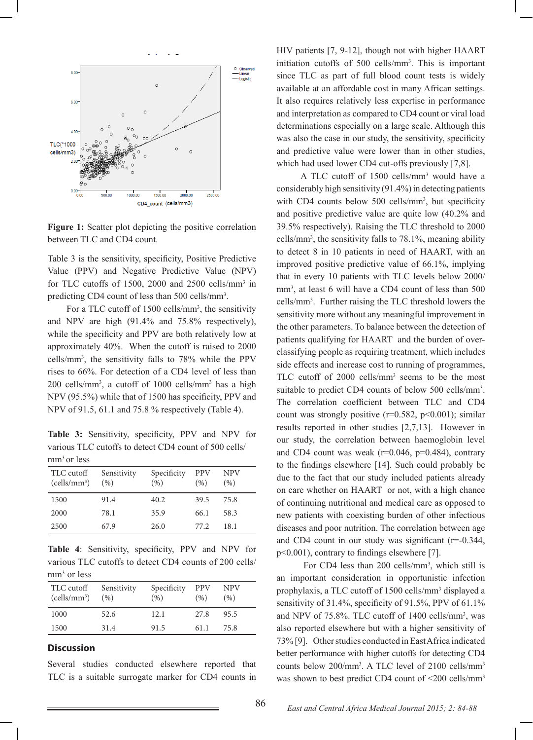

**Figure 1:** Scatter plot depicting the positive correlation between TLC and CD4 count.

Table 3 is the sensitivity, specificity, Positive Predictive Value (PPV) and Negative Predictive Value (NPV) for TLC cutoffs of 1500, 2000 and 2500 cells/ $mm<sup>3</sup>$  in predicting CD4 count of less than 500 cells/mm<sup>3</sup>.

For a TLC cutoff of 1500 cells/mm<sup>3</sup>, the sensitivity and NPV are high (91.4% and 75.8% respectively), while the specificity and PPV are both relatively low at approximately 40%. When the cutoff is raised to 2000 cells/mm3 , the sensitivity falls to 78% while the PPV rises to 66%. For detection of a CD4 level of less than 200 cells/mm3 , a cutoff of 1000 cells/mm3 has a high NPV (95.5%) while that of 1500 has specificity, PPV and NPV of 91.5, 61.1 and 75.8 % respectively (Table 4).

**Table 3:** Sensitivity, specificity, PPV and NPV for various TLC cutoffs to detect CD4 count of 500 cells/ mm<sup>3</sup> or less

| TLC cutoff<br>$(cells/mm^3)$ | Sensitivity<br>(96) | Specificity<br>(% ) | <b>PPV</b><br>(96) | <b>NPV</b><br>(96) |
|------------------------------|---------------------|---------------------|--------------------|--------------------|
| 1500                         | 91.4                | 40.2                | 39.5               | 75.8               |
| 2000                         | 78.1                | 35.9                | 66.1               | 58.3               |
| 2500                         | 67.9                | 26.0                | 77 2.              | 181                |

**Table 4**: Sensitivity, specificity, PPV and NPV for various TLC cutoffs to detect CD4 counts of 200 cells/ mm<sup>3</sup> or less

| TLC cutoff<br>$(cells/mm^3)$ | Sensitivity<br>(96) | Specificity<br>(%) | <b>PPV</b><br>(96) | <b>NPV</b><br>(96) |
|------------------------------|---------------------|--------------------|--------------------|--------------------|
| 1000                         | 52.6                | 12.1               | 2.7.8              | 95.5               |
| 1500                         | 31.4                | 91.5               | 61 1               | 75.8               |

#### **Discussion**

Several studies conducted elsewhere reported that TLC is a suitable surrogate marker for CD4 counts in HIV patients [7, 9-12], though not with higher HAART initiation cutoffs of 500 cells/mm3 . This is important since TLC as part of full blood count tests is widely available at an affordable cost in many African settings. It also requires relatively less expertise in performance and interpretation as compared to CD4 count or viral load determinations especially on a large scale. Although this was also the case in our study, the sensitivity, specificity and predictive value were lower than in other studies, which had used lower CD4 cut-offs previously [7,8].

A TLC cutoff of 1500 cells/mm<sup>3</sup> would have a considerably high sensitivity (91.4%) in detecting patients with CD4 counts below 500 cells/mm<sup>3</sup>, but specificity and positive predictive value are quite low (40.2% and 39.5% respectively). Raising the TLC threshold to 2000 cells/mm3 , the sensitivity falls to 78.1%, meaning ability to detect 8 in 10 patients in need of HAART, with an improved positive predictive value of 66.1%, implying that in every 10 patients with TLC levels below 2000/ mm<sup>3</sup>, at least 6 will have a CD4 count of less than 500 cells/mm3 . Further raising the TLC threshold lowers the sensitivity more without any meaningful improvement in the other parameters. To balance between the detection of patients qualifying for HAART and the burden of overclassifying people as requiring treatment, which includes side effects and increase cost to running of programmes, TLC cutoff of 2000 cells/mm3 seems to be the most suitable to predict CD4 counts of below 500 cells/mm<sup>3</sup>. The correlation coefficient between TLC and CD4 count was strongly positive  $(r=0.582, p<0.001)$ ; similar results reported in other studies [2,7,13]. However in our study, the correlation between haemoglobin level and CD4 count was weak  $(r=0.046, p=0.484)$ , contrary to the findings elsewhere [14]. Such could probably be due to the fact that our study included patients already on care whether on HAART or not, with a high chance of continuing nutritional and medical care as opposed to new patients with coexisting burden of other infectious diseases and poor nutrition. The correlation between age and CD4 count in our study was significant (r=-0.344, p<0.001), contrary to findings elsewhere [7].

For CD4 less than 200 cells/mm<sup>3</sup>, which still is an important consideration in opportunistic infection prophylaxis, a TLC cutoff of 1500 cells/mm<sup>3</sup> displayed a sensitivity of 31.4%, specificity of 91.5%, PPV of 61.1% and NPV of 75.8%. TLC cutoff of 1400 cells/mm<sup>3</sup>, was also reported elsewhere but with a higher sensitivity of 73% [9]. Other studies conducted in East Africa indicated better performance with higher cutoffs for detecting CD4 counts below 200/mm<sup>3</sup>. A TLC level of 2100 cells/mm<sup>3</sup> was shown to best predict CD4 count of <200 cells/mm<sup>3</sup>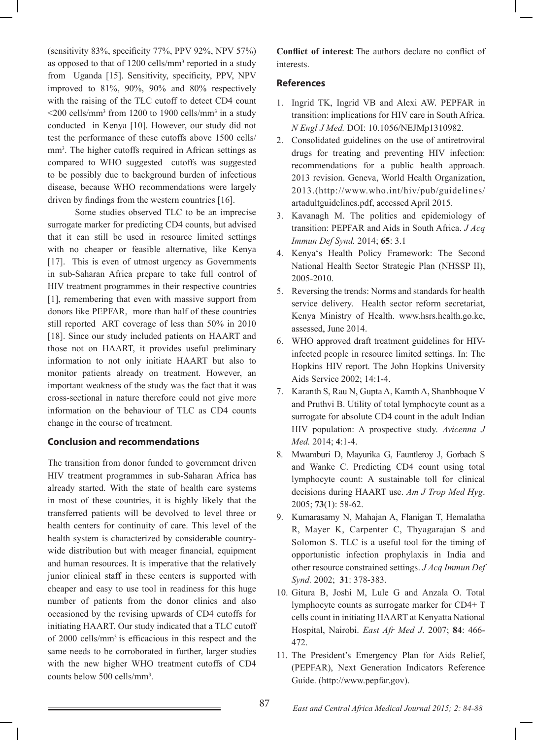(sensitivity 83%, specificity 77%, PPV 92%, NPV 57%) as opposed to that of 1200 cells/mm<sup>3</sup> reported in a study from Uganda [15]. Sensitivity, specificity, PPV, NPV improved to 81%, 90%, 90% and 80% respectively with the raising of the TLC cutoff to detect CD4 count  $\leq$ 200 cells/mm<sup>3</sup> from 1200 to 1900 cells/mm<sup>3</sup> in a study conducted in Kenya [10]. However, our study did not test the performance of these cutoffs above 1500 cells/ mm<sup>3</sup>. The higher cutoffs required in African settings as compared to WHO suggested cutoffs was suggested to be possibly due to background burden of infectious disease, because WHO recommendations were largely driven by findings from the western countries [16].

 Some studies observed TLC to be an imprecise surrogate marker for predicting CD4 counts, but advised that it can still be used in resource limited settings with no cheaper or feasible alternative, like Kenya [17]. This is even of utmost urgency as Governments in sub-Saharan Africa prepare to take full control of HIV treatment programmes in their respective countries [1], remembering that even with massive support from donors like PEPFAR, more than half of these countries still reported ART coverage of less than 50% in 2010 [18]. Since our study included patients on HAART and those not on HAART, it provides useful preliminary information to not only initiate HAART but also to monitor patients already on treatment. However, an important weakness of the study was the fact that it was cross-sectional in nature therefore could not give more information on the behaviour of TLC as CD4 counts change in the course of treatment.

### **Conclusion and recommendations**

The transition from donor funded to government driven HIV treatment programmes in sub-Saharan Africa has already started. With the state of health care systems in most of these countries, it is highly likely that the transferred patients will be devolved to level three or health centers for continuity of care. This level of the health system is characterized by considerable countrywide distribution but with meager financial, equipment and human resources. It is imperative that the relatively junior clinical staff in these centers is supported with cheaper and easy to use tool in readiness for this huge number of patients from the donor clinics and also occasioned by the revising upwards of CD4 cutoffs for initiating HAART. Our study indicated that a TLC cutoff of 2000 cells/mm3 is efficacious in this respect and the same needs to be corroborated in further, larger studies with the new higher WHO treatment cutoffs of CD4 counts below 500 cells/mm3 .

**Conflict of interest**: The authors declare no conflict of interests.

### **References**

- 1. Ingrid TK, Ingrid VB and Alexi AW. PEPFAR in transition: implications for HIV care in South Africa. *N Engl J Med.* DOI: 10.1056/NEJMp1310982.
- 2. Consolidated guidelines on the use of antiretroviral drugs for treating and preventing HIV infection: recommendations for a public health approach. 2013 revision. Geneva, World Health Organization, 2013.(http://www.who.int/hiv/pub/guidelines/ artadultguidelines.pdf, accessed April 2015.
- 3. Kavanagh M. The politics and epidemiology of transition: PEPFAR and Aids in South Africa. *J Acq Immun Def Synd.* 2014; **65**: 3.1
- 4. Kenya's Health Policy Framework: The Second National Health Sector Strategic Plan (NHSSP II), 2005-2010.
- 5. Reversing the trends: Norms and standards for health service delivery. Health sector reform secretariat, Kenya Ministry of Health. www.hsrs.health.go.ke, assessed, June 2014.
- 6. WHO approved draft treatment guidelines for HIVinfected people in resource limited settings. In: The Hopkins HIV report. The John Hopkins University Aids Service 2002; 14:1-4.
- 7. Karanth S, Rau N, Gupta A, Kamth A, Shanbhoque V and Pruthvi B. Utility of total lymphocyte count as a surrogate for absolute CD4 count in the adult Indian HIV population: A prospective study. *Avicenna J Med.* 2014; **4**:1-4.
- 8. Mwamburi D, Mayurika G, Fauntleroy J, Gorbach S and Wanke C. Predicting CD4 count using total lymphocyte count: A sustainable toll for clinical decisions during HAART use. *Am J Trop Med Hyg*. 2005; **73**(1): 58-62.
- 9. Kumarasamy N, Mahajan A, Flanigan T, Hemalatha R, Mayer K, Carpenter C, Thyagarajan S and Solomon S. TLC is a useful tool for the timing of opportunistic infection prophylaxis in India and other resource constrained settings. *J Acq Immun Def Synd.* 2002; **31**: 378-383.
- 10. Gitura B, Joshi M, Lule G and Anzala O. Total lymphocyte counts as surrogate marker for CD4+ T cells count in initiating HAART at Kenyatta National Hospital, Nairobi. *East Afr Med J*. 2007; **84**: 466- 472.
- 11. The President's Emergency Plan for Aids Relief, (PEPFAR), Next Generation Indicators Reference Guide. (http://www.pepfar.gov).